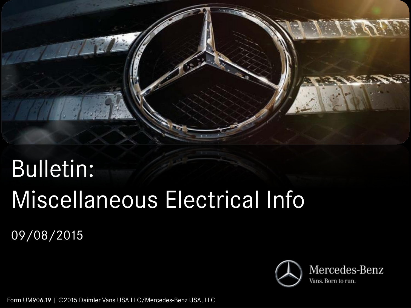

# Bulletin: Miscellaneous Electrical Info

09/08/2015



Form UM906.19 | ©2015 Daimler Vans USA LLC/Mercedes-Benz USA, LLC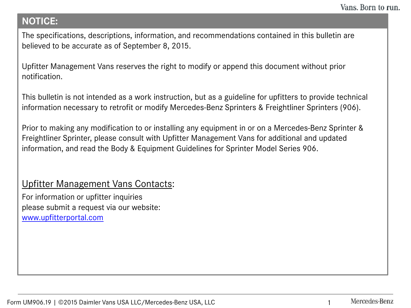## **NOTICE:**

The specifications, descriptions, information, and recommendations contained in this bulletin are believed to be accurate as of September 8, 2015.

Upfitter Management Vans reserves the right to modify or append this document without prior notification.

This bulletin is not intended as a work instruction, but as a guideline for upfitters to provide technical information necessary to retrofit or modify Mercedes-Benz Sprinters & Freightliner Sprinters (906).

Prior to making any modification to or installing any equipment in or on a Mercedes-Benz Sprinter & Freightliner Sprinter, please consult with Upfitter Management Vans for additional and updated information, and read the Body & Equipment Guidelines for Sprinter Model Series 906.

## Upfitter Management Vans Contacts:

For information or upfitter inquiries please submit a request via our website: [www.upfitterportal.com](http://www.upfitterportalcom/)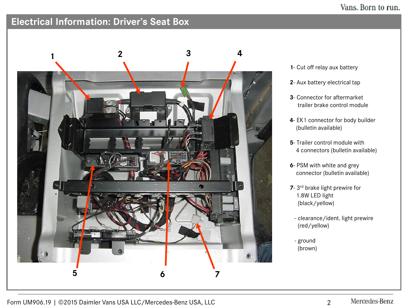#### Vans. Born to run.

# **Electrical Information: Driver's Seat Box**



- **1** Cut off relay aux battery
- **2** Aux battery electrical tap
- **3** Connector for aftermarket trailer brake control module
- **4** EK1 connector for body builder (bulletin available)
- **5** Trailer control module with 4 connectors (bulletin available)
- **6** PSM with white and grey connector (bulletin available)
- **7** 3rd brake light prewire for 1.8W LED light (black/yellow)
	- clearance/ident. light prewire (red/yellow)
	- ground (brown)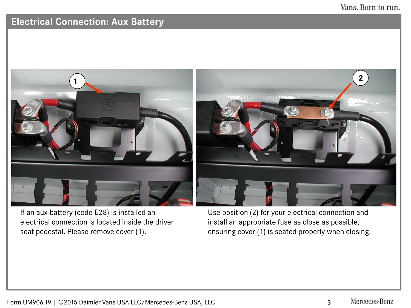## **Electrical Connection: Aux Battery**



If an aux battery (code E28) is installed an electrical connection is located inside the driver seat pedestal. Please remove cover (1).

Use position (2) for your electrical connection and install an appropriate fuse as close as possible, ensuring cover (1) is seated properly when closing.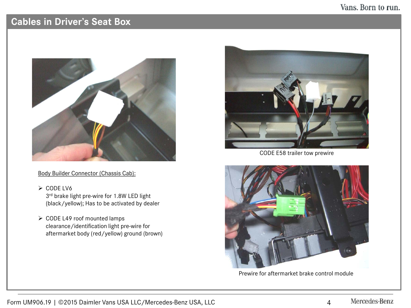#### Vans. Born to run.

## **Cables in Driver's Seat Box**



Body Builder Connector (Chassis Cab):

 $\geq$  CODE LV6

3rd brake light pre-wire for 1.8W LED light (black/yellow); Has to be activated by dealer

▶ CODE L49 roof mounted lamps clearance/identification light pre-wire for aftermarket body (red/yellow) ground (brown)



CODE E58 trailer tow prewire



Prewire for aftermarket brake control module